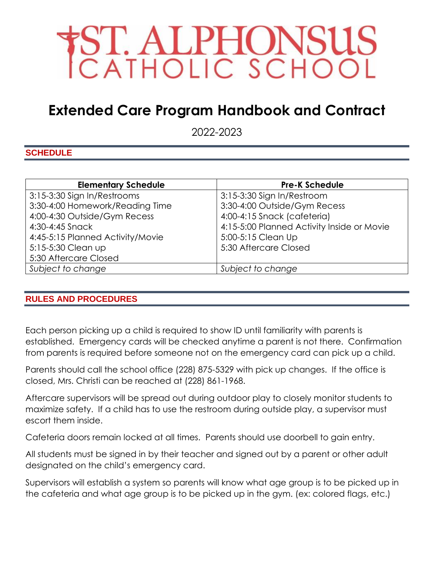

# **Extended Care Program Handbook and Contract**

2022-2023

## **SCHEDULE**

| <b>Elementary Schedule</b>       | <b>Pre-K Schedule</b>                      |
|----------------------------------|--------------------------------------------|
| 3:15-3:30 Sign In/Restrooms      | 3:15-3:30 Sign In/Restroom                 |
| 3:30-4:00 Homework/Reading Time  | 3:30-4:00 Outside/Gym Recess               |
| 4:00-4:30 Outside/Gym Recess     | 4:00-4:15 Snack (cafeteria)                |
| 4:30-4:45 Snack                  | 4:15-5:00 Planned Activity Inside or Movie |
| 4:45-5:15 Planned Activity/Movie | 5:00-5:15 Clean Up                         |
| 5:15-5:30 Clean up               | 5:30 Aftercare Closed                      |
| 5:30 Aftercare Closed            |                                            |
| Subject to change                | Subject to change                          |

#### **RULES AND PROCEDURES**

Each person picking up a child is required to show ID until familiarity with parents is established. Emergency cards will be checked anytime a parent is not there. Confirmation from parents is required before someone not on the emergency card can pick up a child.

Parents should call the school office (228) 875-5329 with pick up changes. If the office is closed, Mrs. Christi can be reached at (228) 861-1968.

Aftercare supervisors will be spread out during outdoor play to closely monitor students to maximize safety. If a child has to use the restroom during outside play, a supervisor must escort them inside.

Cafeteria doors remain locked at all times. Parents should use doorbell to gain entry.

All students must be signed in by their teacher and signed out by a parent or other adult designated on the child's emergency card.

Supervisors will establish a system so parents will know what age group is to be picked up in the cafeteria and what age group is to be picked up in the gym. (ex: colored flags, etc.)